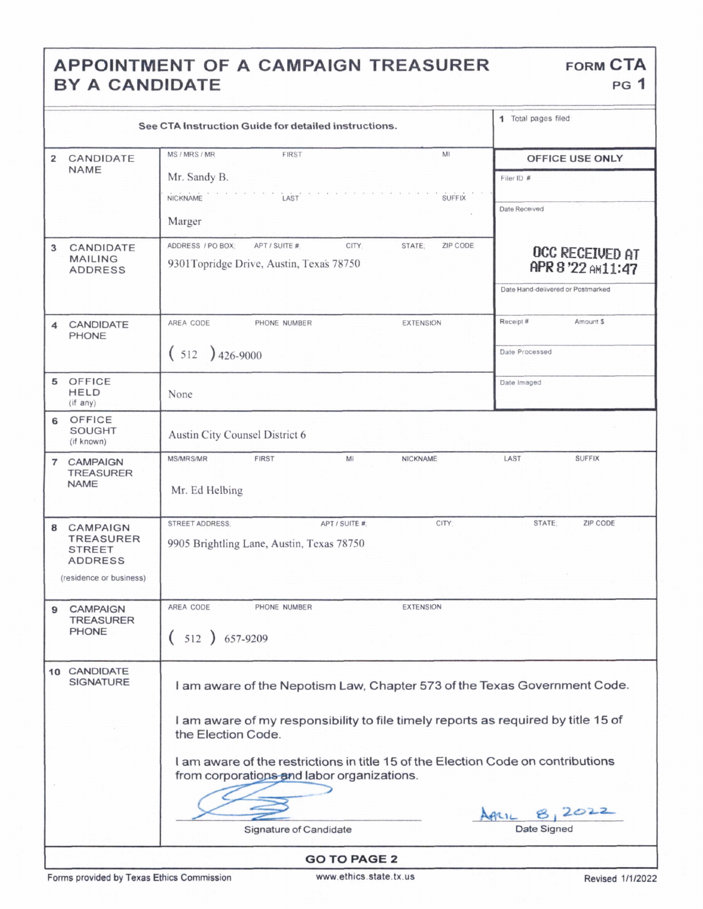## APPOINTMENT OF A CAMPAIGN TREASURER FORM CTA BY A CANDIDATE

|                                                                                                        | 1 Total pages filed                                                                                                            |                                   |  |  |
|--------------------------------------------------------------------------------------------------------|--------------------------------------------------------------------------------------------------------------------------------|-----------------------------------|--|--|
| CANDIDATE<br>$\overline{2}$                                                                            | MS / MRS / MR<br><b>FIRST</b><br>MI                                                                                            | OFFICE USE ONLY                   |  |  |
| <b>NAME</b>                                                                                            | Mr. Sandy B.                                                                                                                   | Filer ID #                        |  |  |
|                                                                                                        | LAST<br>NICKNAME<br><b>SUFFIX</b>                                                                                              |                                   |  |  |
|                                                                                                        | Marger                                                                                                                         | Date Received                     |  |  |
| CANDIDATE<br>3                                                                                         | ADDRESS / PO BOX:<br>CITY:<br>ZIP CODE<br>APT / SUITE #:<br>STATE:                                                             | OCC RECEIVED AT                   |  |  |
| <b>MAILING</b><br><b>ADDRESS</b>                                                                       | 9301Topridge Drive, Austin, Texas 78750                                                                                        | APR 8 '22 AM11:47                 |  |  |
|                                                                                                        |                                                                                                                                | Date Hand-delivered or Postmarked |  |  |
| CANDIDATE<br>4<br>PHONE                                                                                | AREA CODE<br><b>EXTENSION</b><br>PHONE NUMBER                                                                                  | Receipt#<br>Amount \$             |  |  |
|                                                                                                        | $(512)426-9000$                                                                                                                | Date Processed                    |  |  |
| OFFICE<br>5<br><b>HELD</b><br>(if any)                                                                 | None                                                                                                                           | Date Imaged                       |  |  |
| OFFICE<br>6<br><b>SOUGHT</b><br>(if known)                                                             | Austin City Counsel District 6                                                                                                 |                                   |  |  |
| <b>CAMPAIGN</b><br>$\overline{7}$<br><b>TREASURER</b><br><b>NAME</b>                                   | <b>MS/MRS/MR</b><br><b>FIRST</b><br>MI<br>NICKNAME<br>Mr. Ed Helbing                                                           | LAST<br><b>SUFFIX</b>             |  |  |
| <b>CAMPAIGN</b><br>8<br><b>TREASURER</b><br><b>STREET</b><br><b>ADDRESS</b><br>(residence or business) | CITY:<br><b>STREET ADDRESS:</b><br>APT / SUITE #<br>9905 Brightling Lane, Austin, Texas 78750                                  | STATE:<br>ZIP CODE                |  |  |
|                                                                                                        |                                                                                                                                |                                   |  |  |
| <b>CAMPAIGN</b><br>9<br><b>TREASURER</b>                                                               | AREA CODE<br><b>EXTENSION</b><br>PHONE NUMBER                                                                                  |                                   |  |  |
| <b>PHONE</b>                                                                                           | $(512) 657-9209$                                                                                                               |                                   |  |  |
| 10 CANDIDATE<br><b>SIGNATURE</b>                                                                       | I am aware of the Nepotism Law, Chapter 573 of the Texas Government Code.                                                      |                                   |  |  |
|                                                                                                        | I am aware of my responsibility to file timely reports as required by title 15 of<br>the Election Code.                        |                                   |  |  |
|                                                                                                        | I am aware of the restrictions in title 15 of the Election Code on contributions<br>from corporations and labor organizations. |                                   |  |  |
|                                                                                                        |                                                                                                                                | 8,2022                            |  |  |
|                                                                                                        | Signature of Candidate                                                                                                         | ApriL<br>Date Signed              |  |  |
| <b>GO TO PAGE 2</b>                                                                                    |                                                                                                                                |                                   |  |  |